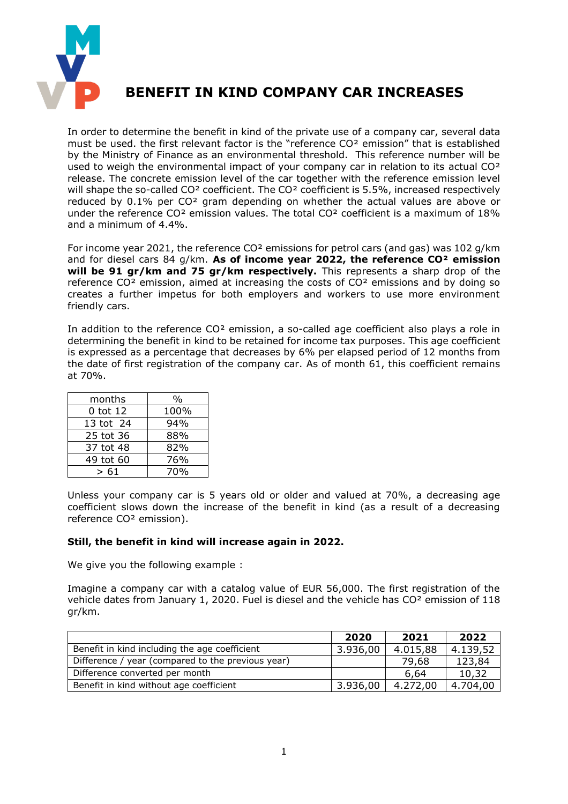

## **BENEFIT IN KIND COMPANY CAR INCREASES**

In order to determine the benefit in kind of the private use of a company car, several data must be used. the first relevant factor is the "reference CO² emission" that is established by the Ministry of Finance as an environmental threshold. This reference number will be used to weigh the environmental impact of your company car in relation to its actual CO<sup>2</sup> release. The concrete emission level of the car together with the reference emission level will shape the so-called CO<sup>2</sup> coefficient. The CO<sup>2</sup> coefficient is 5.5%, increased respectively reduced by 0.1% per CO² gram depending on whether the actual values are above or under the reference CO<sup>2</sup> emission values. The total CO<sup>2</sup> coefficient is a maximum of 18% and a minimum of 4.4%.

For income year 2021, the reference CO<sup>2</sup> emissions for petrol cars (and gas) was 102 g/km and for diesel cars 84 g/km. **As of income year 2022, the reference CO² emission will be 91 gr/km and 75 gr/km respectively.** This represents a sharp drop of the reference CO² emission, aimed at increasing the costs of CO² emissions and by doing so creates a further impetus for both employers and workers to use more environment friendly cars.

In addition to the reference CO<sup>2</sup> emission, a so-called age coefficient also plays a role in determining the benefit in kind to be retained for income tax purposes. This age coefficient is expressed as a percentage that decreases by 6% per elapsed period of 12 months from the date of first registration of the company car. As of month 61, this coefficient remains at 70%.

| months    | %    |
|-----------|------|
| 0 tot 12  | 100% |
| 13 tot 24 | 94%  |
| 25 tot 36 | 88%  |
| 37 tot 48 | 82%  |
| 49 tot 60 | 76%  |
| > 61      | 70%  |

Unless your company car is 5 years old or older and valued at 70%, a decreasing age coefficient slows down the increase of the benefit in kind (as a result of a decreasing reference CO² emission).

## **Still, the benefit in kind will increase again in 2022.**

We give you the following example :

Imagine a company car with a catalog value of EUR 56,000. The first registration of the vehicle dates from January 1, 2020. Fuel is diesel and the vehicle has CO<sup>2</sup> emission of 118 gr/km.

|                                                   | 2020     | 2021     | 2022     |
|---------------------------------------------------|----------|----------|----------|
| Benefit in kind including the age coefficient     | 3.936,00 | 4.015,88 | 4.139,52 |
| Difference / year (compared to the previous year) |          | 79,68    | 123,84   |
| Difference converted per month                    |          | 6,64     | 10,32    |
| Benefit in kind without age coefficient           | 3.936,00 | 4.272.00 | 4.704,00 |